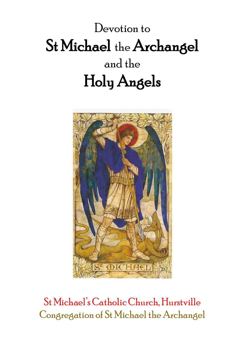# Devotion to St Michael the Archangel and the Holy Angels



## St Michael's Catholic Church,Hurstville Congregation of St Michael the Archangel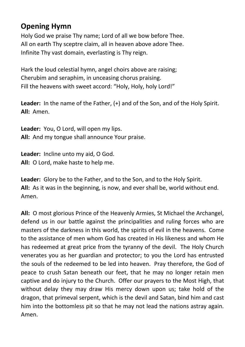### **Opening Hymn**

Holy God we praise Thy name; Lord of all we bow before Thee. All on earth Thy sceptre claim, all in heaven above adore Thee. Infinite Thy vast domain, everlasting is Thy reign.

Hark the loud celestial hymn, angel choirs above are raising; Cherubim and seraphim, in unceasing chorus praising. Fill the heavens with sweet accord: "Holy, Holy, holy Lord!"

**Leader:** In the name of the Father, (+) and of the Son, and of the Holy Spirit. **All:** Amen.

**Leader:** You, O Lord, will open my lips. **All:** And my tongue shall announce Your praise.

**Leader:** Incline unto my aid, O God. **All:** O Lord, make haste to help me.

**Leader:** Glory be to the Father, and to the Son, and to the Holy Spirit. **All:** As it was in the beginning, is now, and ever shall be, world without end. Amen.

**All:** O most glorious Prince of the Heavenly Armies, St Michael the Archangel, defend us in our battle against the principalities and ruling forces who are masters of the darkness in this world, the spirits of evil in the heavens. Come to the assistance of men whom God has created in His likeness and whom He has redeemed at great price from the tyranny of the devil. The Holy Church venerates you as her guardian and protector; to you the Lord has entrusted the souls of the redeemed to be led into heaven. Pray therefore, the God of peace to crush Satan beneath our feet, that he may no longer retain men captive and do injury to the Church. Offer our prayers to the Most High, that without delay they may draw His mercy down upon us; take hold of the dragon, that primeval serpent, which is the devil and Satan, bind him and cast him into the bottomless pit so that he may not lead the nations astray again. Amen.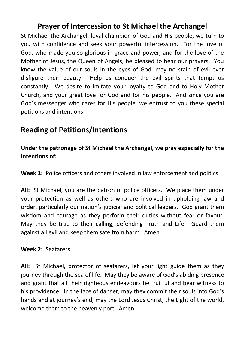### **Prayer of Intercession to St Michael the Archangel**

St Michael the Archangel, loyal champion of God and His people, we turn to you with confidence and seek your powerful intercession. For the love of God, who made you so glorious in grace and power, and for the love of the Mother of Jesus, the Queen of Angels, be pleased to hear our prayers. You know the value of our souls in the eyes of God, may no stain of evil ever disfigure their beauty. Help us conquer the evil spirits that tempt us constantly. We desire to imitate your loyalty to God and to Holy Mother Church, and your great love for God and for his people. And since you are God's messenger who cares for His people, we entrust to you these special petitions and intentions:

### **Reading of Petitions/Intentions**

#### **Under the patronage of St Michael the Archangel, we pray especially for the intentions of:**

**Week 1:** Police officers and others involved in law enforcement and politics

**All:** St Michael, you are the patron of police officers. We place them under your protection as well as others who are involved in upholding law and order, particularly our nation's judicial and political leaders. God grant them wisdom and courage as they perform their duties without fear or favour. May they be true to their calling, defending Truth and Life. Guard them against all evil and keep them safe from harm. Amen.

#### **Week 2:** Seafarers

**All:** St Michael, protector of seafarers, let your light guide them as they journey through the sea of life. May they be aware of God's abiding presence and grant that all their righteous endeavours be fruitful and bear witness to his providence. In the face of danger, may they commit their souls into God's hands and at journey's end, may the Lord Jesus Christ, the Light of the world, welcome them to the heavenly port. Amen.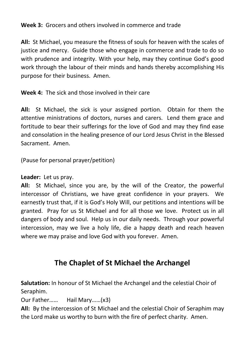#### **Week 3:** Grocers and others involved in commerce and trade

**All:** St Michael, you measure the fitness of souls for heaven with the scales of justice and mercy. Guide those who engage in commerce and trade to do so with prudence and integrity. With your help, may they continue God's good work through the labour of their minds and hands thereby accomplishing His purpose for their business. Amen.

**Week 4:** The sick and those involved in their care

**All:** St Michael, the sick is your assigned portion. Obtain for them the attentive ministrations of doctors, nurses and carers. Lend them grace and fortitude to bear their sufferings for the love of God and may they find ease and consolation in the healing presence of our Lord Jesus Christ in the Blessed Sacrament. Amen.

(Pause for personal prayer/petition)

**Leader:** Let us pray.

**All:** St Michael, since you are, by the will of the Creator, the powerful intercessor of Christians, we have great confidence in your prayers. We earnestly trust that, if it is God's Holy Will, our petitions and intentions will be granted. Pray for us St Michael and for all those we love. Protect us in all dangers of body and soul. Help us in our daily needs. Through your powerful intercession, may we live a holy life, die a happy death and reach heaven where we may praise and love God with you forever. Amen.

### **The Chaplet of St Michael the Archangel**

**Salutation:** In honour of St Michael the Archangel and the celestial Choir of Seraphim.

Our Father…… Hail Mary……(x3)

**All:** By the intercession of St Michael and the celestial Choir of Seraphim may the Lord make us worthy to burn with the fire of perfect charity. Amen.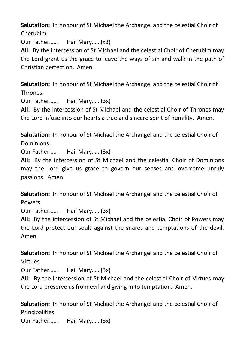**Salutation:** In honour of St Michael the Archangel and the celestial Choir of Cherubim.

Our Father…… Hail Mary……(x3)

**All:** By the intercession of St Michael and the celestial Choir of Cherubim may the Lord grant us the grace to leave the ways of sin and walk in the path of Christian perfection. Amen.

**Salutation:** In honour of St Michael the Archangel and the celestial Choir of Thrones.

Our Father…… Hail Mary……(3x)

**All:** By the intercession of St Michael and the celestial Choir of Thrones may the Lord infuse into our hearts a true and sincere spirit of humility. Amen.

**Salutation:** In honour of St Michael the Archangel and the celestial Choir of Dominions.

Our Father…… Hail Mary……(3x)

**All:** By the intercession of St Michael and the celestial Choir of Dominions may the Lord give us grace to govern our senses and overcome unruly passions. Amen.

**Salutation:** In honour of St Michael the Archangel and the celestial Choir of Powers.

Our Father…… Hail Mary……(3x)

**All:** By the intercession of St Michael and the celestial Choir of Powers may the Lord protect our souls against the snares and temptations of the devil. Amen.

**Salutation:** In honour of St Michael the Archangel and the celestial Choir of Virtues.

Our Father…… Hail Mary……(3x)

**All:** By the intercession of St Michael and the celestial Choir of Virtues may the Lord preserve us from evil and giving in to temptation. Amen.

**Salutation:** In honour of St Michael the Archangel and the celestial Choir of Principalities.

Our Father…… Hail Mary……(3x)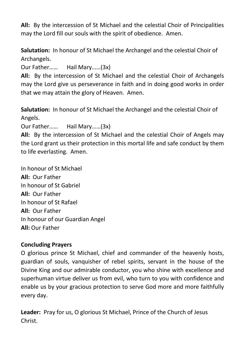**All:** By the intercession of St Michael and the celestial Choir of Principalities may the Lord fill our souls with the spirit of obedience. Amen.

**Salutation:** In honour of St Michael the Archangel and the celestial Choir of Archangels.

Our Father…… Hail Mary……(3x)

**All:** By the intercession of St Michael and the celestial Choir of Archangels may the Lord give us perseverance in faith and in doing good works in order that we may attain the glory of Heaven. Amen.

**Salutation:** In honour of St Michael the Archangel and the celestial Choir of Angels.

Our Father…… Hail Mary……(3x)

**All:** By the intercession of St Michael and the celestial Choir of Angels may the Lord grant us their protection in this mortal life and safe conduct by them to life everlasting. Amen.

In honour of St Michael **All:** Our Father In honour of St Gabriel **All:** Our Father In honour of St Rafael **All:** Our Father In honour of our Guardian Angel **All:** Our Father

#### **Concluding Prayers**

O glorious prince St Michael, chief and commander of the heavenly hosts, guardian of souls, vanquisher of rebel spirits, servant in the house of the Divine King and our admirable conductor, you who shine with excellence and superhuman virtue deliver us from evil, who turn to you with confidence and enable us by your gracious protection to serve God more and more faithfully every day.

**Leader:** Pray for us, O glorious St Michael, Prince of the Church of Jesus Christ.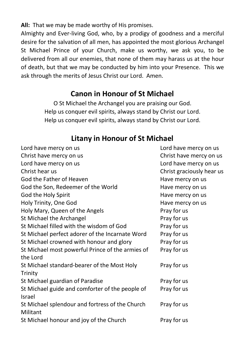**All:** That we may be made worthy of His promises.

Almighty and Ever-living God, who, by a prodigy of goodness and a merciful desire for the salvation of all men, has appointed the most glorious Archangel St Michael Prince of your Church, make us worthy, we ask you, to be delivered from all our enemies, that none of them may harass us at the hour of death, but that we may be conducted by him into your Presence. This we ask through the merits of Jesus Christ our Lord. Amen.

#### **Canon in Honour of St Michael**

O St Michael the Archangel you are praising our God. Help us conquer evil spirits, always stand by Christ our Lord. Help us conquer evil spirits, always stand by Christ our Lord.

#### **Litany in Honour of St Michael**

| Lord have mercy on us                            | Lord have mercy on us     |
|--------------------------------------------------|---------------------------|
| Christ have mercy on us                          | Christ have mercy on us   |
| Lord have mercy on us                            | Lord have mercy on us     |
| Christ hear us                                   | Christ graciously hear us |
| God the Father of Heaven                         | Have mercy on us          |
| God the Son, Redeemer of the World               | Have mercy on us          |
| God the Holy Spirit                              | Have mercy on us          |
| Holy Trinity, One God                            | Have mercy on us          |
| Holy Mary, Queen of the Angels                   | Pray for us               |
| St Michael the Archangel                         | Pray for us               |
| St Michael filled with the wisdom of God         | Pray for us               |
| St Michael perfect adorer of the Incarnate Word  | Pray for us               |
| St Michael crowned with honour and glory         | Pray for us               |
| St Michael most powerful Prince of the armies of | Pray for us               |
| the Lord                                         |                           |
| St Michael standard-bearer of the Most Holy      | Pray for us               |
| Trinity                                          |                           |
| St Michael guardian of Paradise                  | Pray for us               |
| St Michael guide and comforter of the people of  | Pray for us               |
| Israel                                           |                           |
| St Michael splendour and fortress of the Church  | Pray for us               |
| Militant                                         |                           |
| St Michael honour and joy of the Church          | Pray for us               |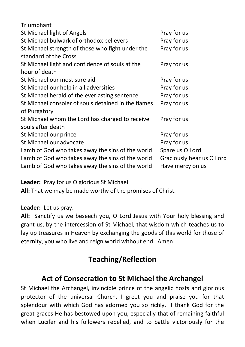| Triumphant                                          |                           |
|-----------------------------------------------------|---------------------------|
| St Michael light of Angels                          | Pray for us               |
| St Michael bulwark of orthodox believers            | Pray for us               |
| St Michael strength of those who fight under the    | Pray for us               |
| standard of the Cross                               |                           |
| St Michael light and confidence of souls at the     | Pray for us               |
| hour of death                                       |                           |
| St Michael our most sure aid                        | Pray for us               |
| St Michael our help in all adversities              | Pray for us               |
| St Michael herald of the everlasting sentence       | Pray for us               |
| St Michael consoler of souls detained in the flames | Pray for us               |
| of Purgatory                                        |                           |
| St Michael whom the Lord has charged to receive     | Pray for us               |
| souls after death                                   |                           |
| St Michael our prince                               | Pray for us               |
| St Michael our advocate                             | Pray for us               |
| Lamb of God who takes away the sins of the world    | Spare us O Lord           |
| Lamb of God who takes away the sins of the world    | Graciously hear us O Lord |
| Lamb of God who takes away the sins of the world    | Have mercy on us          |
|                                                     |                           |

**Leader:** Pray for us O glorious St Michael.

**All:** That we may be made worthy of the promises of Christ.

#### **Leader:** Let us pray.

**All:** Sanctify us we beseech you, O Lord Jesus with Your holy blessing and grant us, by the intercession of St Michael, that wisdom which teaches us to lay up treasures in Heaven by exchanging the goods of this world for those of eternity, you who live and reign world without end. Amen.

### **Teaching/Reflection**

### **Act of Consecration to St Michael the Archangel**

St Michael the Archangel, invincible prince of the angelic hosts and glorious protector of the universal Church, I greet you and praise you for that splendour with which God has adorned you so richly. I thank God for the great graces He has bestowed upon you, especially that of remaining faithful when Lucifer and his followers rebelled, and to battle victoriously for the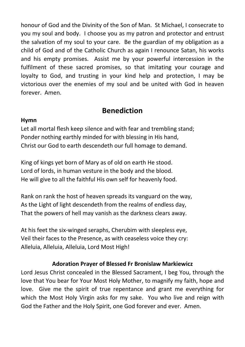honour of God and the Divinity of the Son of Man. St Michael, I consecrate to you my soul and body. I choose you as my patron and protector and entrust the salvation of my soul to your care. Be the guardian of my obligation as a child of God and of the Catholic Church as again I renounce Satan, his works and his empty promises. Assist me by your powerful intercession in the fulfilment of these sacred promises, so that imitating your courage and loyalty to God, and trusting in your kind help and protection, I may be victorious over the enemies of my soul and be united with God in heaven forever. Amen.

### **Benediction**

#### **Hymn**

Let all mortal flesh keep silence and with fear and trembling stand; Ponder nothing earthly minded for with blessing in His hand, Christ our God to earth descendeth our full homage to demand.

King of kings yet born of Mary as of old on earth He stood. Lord of lords, in human vesture in the body and the blood. He will give to all the faithful His own self for heavenly food.

Rank on rank the host of heaven spreads its vanguard on the way, As the Light of light descendeth from the realms of endless day, That the powers of hell may vanish as the darkness clears away.

At his feet the six-winged seraphs, Cherubim with sleepless eye, Veil their faces to the Presence, as with ceaseless voice they cry: Alleluia, Alleluia, Alleluia, Lord Most High!

#### **Adoration Prayer of Blessed Fr Bronislaw Markiewicz**

Lord Jesus Christ concealed in the Blessed Sacrament, I beg You, through the love that You bear for Your Most Holy Mother, to magnify my faith, hope and love. Give me the spirit of true repentance and grant me everything for which the Most Holy Virgin asks for my sake. You who live and reign with God the Father and the Holy Spirit, one God forever and ever. Amen.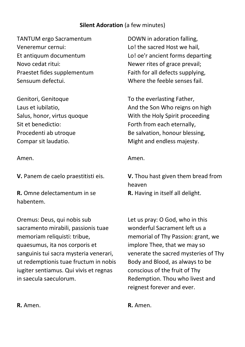#### **Silent Adoration** (a few minutes)

TANTUM ergo Sacramentum Veneremur cernui: Et antiquum documentum Novo cedat ritui: Praestet fides supplementum Sensuum defectui.

Genitori, Genitoque Laus et iubilatio, Salus, honor, virtus quoque Sit et benedictio: Procedenti ab utroque Compar sit laudatio.

Amen.

**V.** Panem de caelo praestitisti eis.

**R.** Omne delectamentum in se habentem.

Oremus: Deus, qui nobis sub sacramento mirabili, passionis tuae memoriam reliquisti: tribue, quaesumus, ita nos corporis et sanguinis tui sacra mysteria venerari, ut redemptionis tuae fructum in nobis iugiter sentiamus. Qui vivis et regnas in saecula saeculorum.

DOWN in adoration falling, Lo! the sacred Host we hail, Lo! oe'r ancient forms departing Newer rites of grace prevail; Faith for all defects supplying, Where the feeble senses fail.

To the everlasting Father, And the Son Who reigns on high With the Holy Spirit proceeding Forth from each eternally, Be salvation, honour blessing, Might and endless majesty.

#### Amen.

**V.** Thou hast given them bread from heaven

**R.** Having in itself all delight.

Let us pray: O God, who in this wonderful Sacrament left us a memorial of Thy Passion: grant, we implore Thee, that we may so venerate the sacred mysteries of Thy Body and Blood, as always to be conscious of the fruit of Thy Redemption. Thou who livest and reignest forever and ever.

**R.** Amen. **R.** Amen.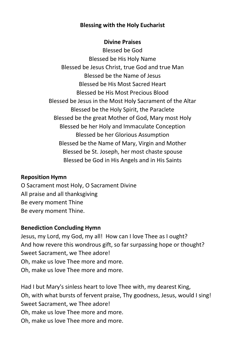#### **Blessing with the Holy Eucharist**

#### **Divine Praises**

Blessed be God Blessed be His Holy Name Blessed be Jesus Christ, true God and true Man Blessed be the Name of Jesus Blessed be His Most Sacred Heart Blessed be His Most Precious Blood Blessed be Jesus in the Most Holy Sacrament of the Altar Blessed be the Holy Spirit, the Paraclete Blessed be the great Mother of God, Mary most Holy Blessed be her Holy and Immaculate Conception Blessed be her Glorious Assumption Blessed be the Name of Mary, Virgin and Mother Blessed be St. Joseph, her most chaste spouse Blessed be God in His Angels and in His Saints

#### **Reposition Hymn**

O Sacrament most Holy, O Sacrament Divine All praise and all thanksgiving Be every moment Thine Be every moment Thine.

#### **Benediction Concluding Hymn**

Jesus, my Lord, my God, my all! How can I love Thee as I ought? And how revere this wondrous gift, so far surpassing hope or thought? Sweet Sacrament, we Thee adore! Oh, make us love Thee more and more. Oh, make us love Thee more and more.

Had I but Mary's sinless heart to love Thee with, my dearest King, Oh, with what bursts of fervent praise, Thy goodness, Jesus, would I sing! Sweet Sacrament, we Thee adore! Oh, make us love Thee more and more. Oh, make us love Thee more and more.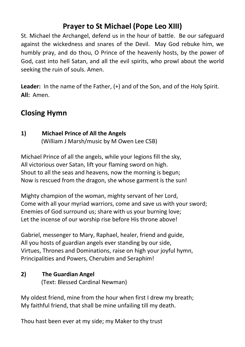### **Prayer to St Michael (Pope Leo XIII)**

St. Michael the Archangel, defend us in the hour of battle. Be our safeguard against the wickedness and snares of the Devil. May God rebuke him, we humbly pray, and do thou, O Prince of the heavenly hosts, by the power of God, cast into hell Satan, and all the evil spirits, who prowl about the world seeking the ruin of souls. Amen.

Leader: In the name of the Father, (+) and of the Son, and of the Holy Spirit. **All:** Amen.

### **Closing Hymn**

### **1) Michael Prince of All the Angels**

(William J Marsh/music by M Owen Lee CSB)

Michael Prince of all the angels, while your legions fill the sky, All victorious over Satan, lift your flaming sword on high. Shout to all the seas and heavens, now the morning is begun; Now is rescued from the dragon, she whose garment is the sun!

Mighty champion of the woman, mighty servant of her Lord, Come with all your myriad warriors, come and save us with your sword; Enemies of God surround us; share with us your burning love; Let the incense of our worship rise before His throne above!

Gabriel, messenger to Mary, Raphael, healer, friend and guide, All you hosts of guardian angels ever standing by our side, Virtues, Thrones and Dominations, raise on high your joyful hymn, Principalities and Powers, Cherubim and Seraphim!

#### **2) The Guardian Angel** (Text: Blessed Cardinal Newman)

My oldest friend, mine from the hour when first I drew my breath; My faithful friend, that shall be mine unfailing till my death.

Thou hast been ever at my side; my Maker to thy trust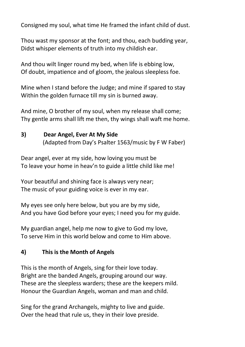Consigned my soul, what time He framed the infant child of dust.

Thou wast my sponsor at the font; and thou, each budding year, Didst whisper elements of truth into my childish ear.

And thou wilt linger round my bed, when life is ebbing low, Of doubt, impatience and of gloom, the jealous sleepless foe.

Mine when I stand before the Judge; and mine if spared to stay Within the golden furnace till my sin is burned away.

And mine, O brother of my soul, when my release shall come; Thy gentle arms shall lift me then, thy wings shall waft me home.

#### **3) Dear Angel, Ever At My Side**

(Adapted from Day's Psalter 1563/music by F W Faber)

Dear angel, ever at my side, how loving you must be To leave your home in heav'n to guide a little child like me!

Your beautiful and shining face is always very near; The music of your guiding voice is ever in my ear.

My eyes see only here below, but you are by my side, And you have God before your eyes; I need you for my guide.

My guardian angel, help me now to give to God my love, To serve Him in this world below and come to Him above.

#### **4) This is the Month of Angels**

This is the month of Angels, sing for their love today. Bright are the banded Angels, grouping around our way. These are the sleepless warders; these are the keepers mild. Honour the Guardian Angels, woman and man and child.

Sing for the grand Archangels, mighty to live and guide. Over the head that rule us, they in their love preside.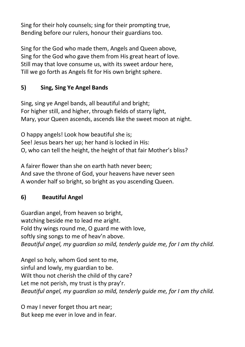Sing for their holy counsels; sing for their prompting true, Bending before our rulers, honour their guardians too.

Sing for the God who made them, Angels and Queen above, Sing for the God who gave them from His great heart of love. Still may that love consume us, with its sweet ardour here, Till we go forth as Angels fit for His own bright sphere.

#### **5) Sing, Sing Ye Angel Bands**

Sing, sing ye Angel bands, all beautiful and bright; For higher still, and higher, through fields of starry light, Mary, your Queen ascends, ascends like the sweet moon at night.

O happy angels! Look how beautiful she is; See! Jesus bears her up; her hand is locked in His: O, who can tell the height, the height of that fair Mother's bliss?

A fairer flower than she on earth hath never been; And save the throne of God, your heavens have never seen A wonder half so bright, so bright as you ascending Queen.

#### **6) Beautiful Angel**

Guardian angel, from heaven so bright, watching beside me to lead me aright. Fold thy wings round me, O guard me with love, softly sing songs to me of heav'n above. *Beautiful angel, my guardian so mild, tenderly guide me, for I am thy child.*

Angel so holy, whom God sent to me, sinful and lowly, my guardian to be. Wilt thou not cherish the child of thy care? Let me not perish, my trust is thy pray'r. *Beautiful angel, my guardian so mild, tenderly guide me, for I am thy child.*

O may I never forget thou art near; But keep me ever in love and in fear.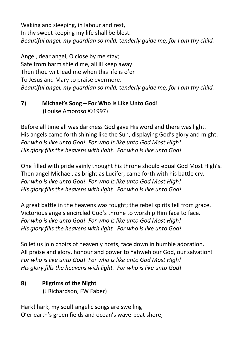Waking and sleeping, in labour and rest, In thy sweet keeping my life shall be blest. *Beautiful angel, my guardian so mild, tenderly guide me, for I am thy child.*

Angel, dear angel, O close by me stay; Safe from harm shield me, all ill keep away Then thou wilt lead me when this life is o'er To Jesus and Mary to praise evermore. *Beautiful angel, my guardian so mild, tenderly guide me, for I am thy child.*

#### **7) Michael's Song – For Who Is Like Unto God!** (Louise Amoroso ©1997)

Before all time all was darkness God gave His word and there was light. His angels came forth shining like the Sun, displaying God's glory and might. *For who is like unto God! For who is like unto God Most High! His glory fills the heavens with light. For who is like unto God!*

One filled with pride vainly thought his throne should equal God Most High's. Then angel Michael, as bright as Lucifer, came forth with his battle cry. *For who is like unto God! For who is like unto God Most High! His glory fills the heavens with light. For who is like unto God!*

A great battle in the heavens was fought; the rebel spirits fell from grace. Victorious angels encircled God's throne to worship Him face to face. *For who is like unto God! For who is like unto God Most High! His glory fills the heavens with light. For who is like unto God!*

So let us join choirs of heavenly hosts, face down in humble adoration. All praise and glory, honour and power to Yahweh our God, our salvation! *For who is like unto God! For who is like unto God Most High! His glory fills the heavens with light. For who is like unto God!*

#### **8) Pilgrims of the Night** (J Richardson, FW Faber)

Hark! hark, my soul! angelic songs are swelling O'er earth's green fields and ocean's wave-beat shore;